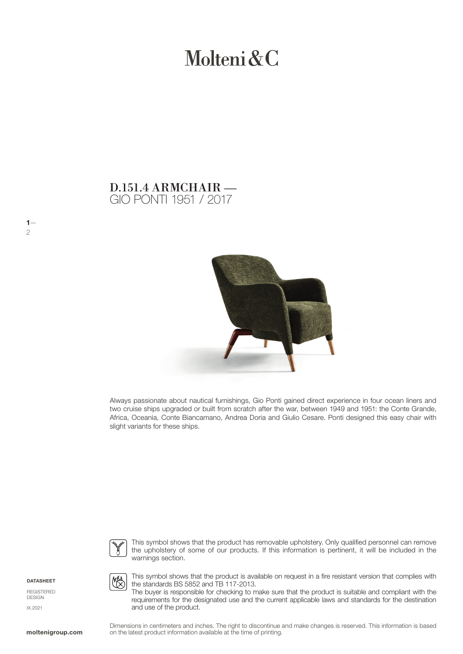# Molteni & C

## GIO PONTI 1951 / 2017 D.151.4 ARMCHAIR —



Always passionate about nautical furnishings, Gio Ponti gained direct experience in four ocean liners and two cruise ships upgraded or built from scratch after the war, between 1949 and 1951: the Conte Grande, Africa, Oceania, Conte Biancamano, Andrea Doria and Giulio Cesare. Ponti designed this easy chair with slight variants for these ships.



This symbol shows that the product has removable upholstery. Only qualified personnel can remove the upholstery of some of our products. If this information is pertinent, it will be included in the warnings section.

DATASHEET

 $1-$ 

2

REGISTERED **DESIGN** IX.2021



This symbol shows that the product is available on request in a fire resistant version that complies with the standards BS 5852 and TB 117-2013.

The buyer is responsible for checking to make sure that the product is suitable and compliant with the requirements for the designated use and the current applicable laws and standards for the destination and use of the product.

Dimensions in centimeters and inches. The right to discontinue and make changes is reserved. This information is based on the latest product information available at the time of printing.